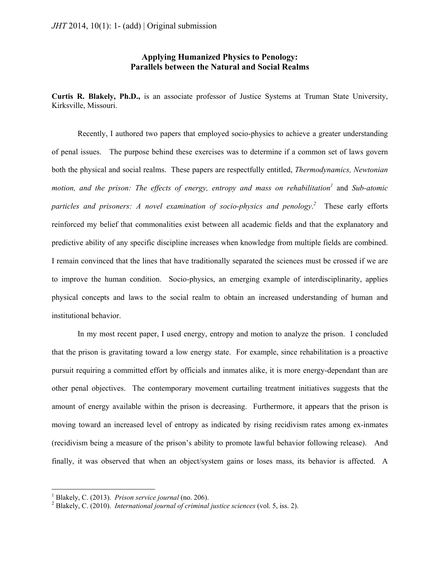# **Applying Humanized Physics to Penology: Parallels between the Natural and Social Realms**

**Curtis R. Blakely, Ph.D.,** is an associate professor of Justice Systems at Truman State University, Kirksville, Missouri.

Recently, I authored two papers that employed socio-physics to achieve a greater understanding of penal issues. The purpose behind these exercises was to determine if a common set of laws govern both the physical and social realms. These papers are respectfully entitled, *Thermodynamics, Newtonian*  motion, and the prison: The effects of energy, entropy and mass on rehabilitation<sup>1</sup> and Sub-atomic *particles and prisoners: A novel examination of socio-physics and penology*. *2* These early efforts reinforced my belief that commonalities exist between all academic fields and that the explanatory and predictive ability of any specific discipline increases when knowledge from multiple fields are combined. I remain convinced that the lines that have traditionally separated the sciences must be crossed if we are to improve the human condition. Socio-physics, an emerging example of interdisciplinarity, applies physical concepts and laws to the social realm to obtain an increased understanding of human and institutional behavior.

In my most recent paper, I used energy, entropy and motion to analyze the prison. I concluded that the prison is gravitating toward a low energy state. For example, since rehabilitation is a proactive pursuit requiring a committed effort by officials and inmates alike, it is more energy-dependant than are other penal objectives. The contemporary movement curtailing treatment initiatives suggests that the amount of energy available within the prison is decreasing. Furthermore, it appears that the prison is moving toward an increased level of entropy as indicated by rising recidivism rates among ex-inmates (recidivism being a measure of the prison's ability to promote lawful behavior following release). And finally, it was observed that when an object/system gains or loses mass, its behavior is affected. A

<sup>&</sup>lt;sup>1</sup> Blakely, C. (2013). *Prison service journal* (no. 206).<br><sup>2</sup> Blakely, C. (2010). *International journal of eviningl*.

Blakely, C. (2010). *International journal of criminal justice sciences* (vol. 5, iss. 2).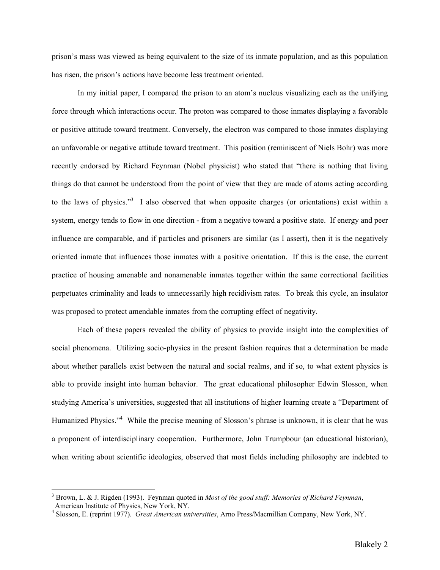prison's mass was viewed as being equivalent to the size of its inmate population, and as this population has risen, the prison's actions have become less treatment oriented.

In my initial paper, I compared the prison to an atom's nucleus visualizing each as the unifying force through which interactions occur. The proton was compared to those inmates displaying a favorable or positive attitude toward treatment. Conversely, the electron was compared to those inmates displaying an unfavorable or negative attitude toward treatment. This position (reminiscent of Niels Bohr) was more recently endorsed by Richard Feynman (Nobel physicist) who stated that "there is nothing that living things do that cannot be understood from the point of view that they are made of atoms acting according to the laws of physics."<sup>3</sup> I also observed that when opposite charges (or orientations) exist within a system, energy tends to flow in one direction - from a negative toward a positive state. If energy and peer influence are comparable, and if particles and prisoners are similar (as I assert), then it is the negatively oriented inmate that influences those inmates with a positive orientation. If this is the case, the current practice of housing amenable and nonamenable inmates together within the same correctional facilities perpetuates criminality and leads to unnecessarily high recidivism rates. To break this cycle, an insulator was proposed to protect amendable inmates from the corrupting effect of negativity.

Each of these papers revealed the ability of physics to provide insight into the complexities of social phenomena. Utilizing socio-physics in the present fashion requires that a determination be made about whether parallels exist between the natural and social realms, and if so, to what extent physics is able to provide insight into human behavior. The great educational philosopher Edwin Slosson, when studying America's universities, suggested that all institutions of higher learning create a "Department of Humanized Physics."<sup>4</sup> While the precise meaning of Slosson's phrase is unknown, it is clear that he was a proponent of interdisciplinary cooperation. Furthermore, John Trumpbour (an educational historian), when writing about scientific ideologies, observed that most fields including philosophy are indebted to

<sup>3</sup> Brown, L. & J. Rigden (1993). Feynman quoted in *Most of the good stuff: Memories of Richard Feynman*, American Institute of Physics, New York, NY.

<sup>4</sup> Slosson, E. (reprint 1977). *Great American universities*, Arno Press/Macmillian Company, New York, NY.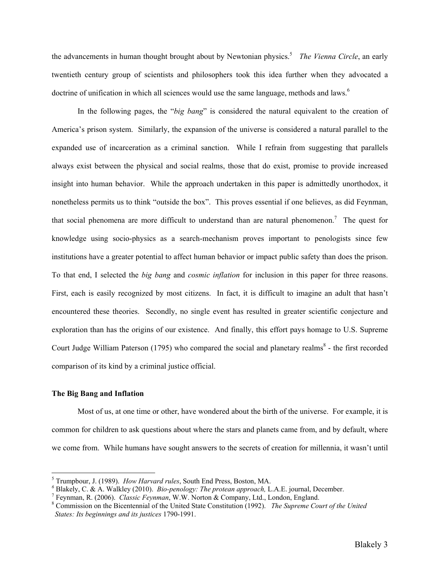the advancements in human thought brought about by Newtonian physics.<sup>5</sup> The Vienna Circle, an early twentieth century group of scientists and philosophers took this idea further when they advocated a doctrine of unification in which all sciences would use the same language, methods and laws.<sup>6</sup>

In the following pages, the "*big bang*" is considered the natural equivalent to the creation of America's prison system. Similarly, the expansion of the universe is considered a natural parallel to the expanded use of incarceration as a criminal sanction. While I refrain from suggesting that parallels always exist between the physical and social realms, those that do exist, promise to provide increased insight into human behavior. While the approach undertaken in this paper is admittedly unorthodox, it nonetheless permits us to think "outside the box". This proves essential if one believes, as did Feynman, that social phenomena are more difficult to understand than are natural phenomenon.<sup>7</sup> The quest for knowledge using socio-physics as a search-mechanism proves important to penologists since few institutions have a greater potential to affect human behavior or impact public safety than does the prison. To that end, I selected the *big bang* and *cosmic inflation* for inclusion in this paper for three reasons. First, each is easily recognized by most citizens. In fact, it is difficult to imagine an adult that hasn't encountered these theories. Secondly, no single event has resulted in greater scientific conjecture and exploration than has the origins of our existence. And finally, this effort pays homage to U.S. Supreme Court Judge William Paterson (1795) who compared the social and planetary realms<sup>8</sup> - the first recorded comparison of its kind by a criminal justice official.

## **The Big Bang and Inflation**

 $\overline{a}$ 

Most of us, at one time or other, have wondered about the birth of the universe. For example, it is common for children to ask questions about where the stars and planets came from, and by default, where we come from. While humans have sought answers to the secrets of creation for millennia, it wasn't until

<sup>&</sup>lt;sup>5</sup> Trumpbour, J. (1989). *How Harvard rules*, South End Press, Boston, MA.

 $\delta$  Blakely, C. & A. Walkley (2010). *Bio-penology: The protean approach*, L.A.E. journal, December.

Feynman, R. (2006). *Classic Feynman*, W.W. Norton & Company, Ltd., London, England. 8

Commission on the Bicentennial of the United State Constitution (1992). *The Supreme Court of the United States: Its beginnings and its justices* 1790-1991.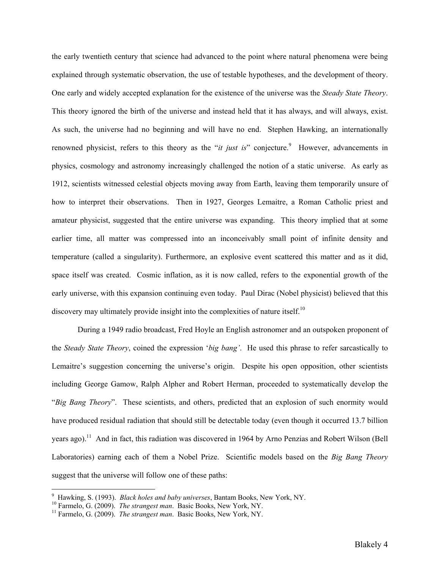the early twentieth century that science had advanced to the point where natural phenomena were being explained through systematic observation, the use of testable hypotheses, and the development of theory. One early and widely accepted explanation for the existence of the universe was the *Steady State Theory*. This theory ignored the birth of the universe and instead held that it has always, and will always, exist. As such, the universe had no beginning and will have no end. Stephen Hawking, an internationally renowned physicist, refers to this theory as the "*it just is*" conjecture.<sup>9</sup> However, advancements in physics, cosmology and astronomy increasingly challenged the notion of a static universe. As early as 1912, scientists witnessed celestial objects moving away from Earth, leaving them temporarily unsure of how to interpret their observations. Then in 1927, Georges Lemaitre, a Roman Catholic priest and amateur physicist, suggested that the entire universe was expanding. This theory implied that at some earlier time, all matter was compressed into an inconceivably small point of infinite density and temperature (called a singularity). Furthermore, an explosive event scattered this matter and as it did, space itself was created. Cosmic inflation, as it is now called, refers to the exponential growth of the early universe, with this expansion continuing even today. Paul Dirac (Nobel physicist) believed that this discovery may ultimately provide insight into the complexities of nature itself.<sup>10</sup>

During a 1949 radio broadcast, Fred Hoyle an English astronomer and an outspoken proponent of the *Steady State Theory*, coined the expression '*big bang'*. He used this phrase to refer sarcastically to Lemaitre's suggestion concerning the universe's origin. Despite his open opposition, other scientists including George Gamow, Ralph Alpher and Robert Herman, proceeded to systematically develop the "*Big Bang Theory*". These scientists, and others, predicted that an explosion of such enormity would have produced residual radiation that should still be detectable today (even though it occurred 13.7 billion years ago).<sup>11</sup> And in fact, this radiation was discovered in 1964 by Arno Penzias and Robert Wilson (Bell) Laboratories) earning each of them a Nobel Prize. Scientific models based on the *Big Bang Theory* suggest that the universe will follow one of these paths:

<sup>&</sup>lt;sup>9</sup> Hawking, S. (1993). *Black holes and baby universes*, Bantam Books, New York, NY.

<sup>&</sup>lt;sup>10</sup> Farmelo, G. (2009). *The strangest man*. Basic Books, New York, NY.<br><sup>11</sup> Farmelo, G. (2009). *The strangest man*. Basic Books, New York, NY.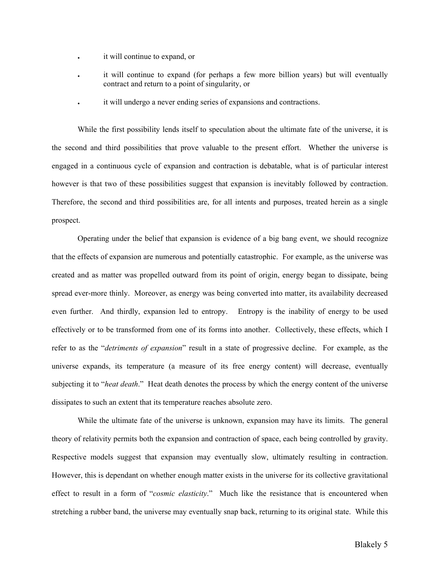- it will continue to expand, or
- it will continue to expand (for perhaps a few more billion years) but will eventually contract and return to a point of singularity, or
- it will undergo a never ending series of expansions and contractions.

While the first possibility lends itself to speculation about the ultimate fate of the universe, it is the second and third possibilities that prove valuable to the present effort. Whether the universe is engaged in a continuous cycle of expansion and contraction is debatable, what is of particular interest however is that two of these possibilities suggest that expansion is inevitably followed by contraction. Therefore, the second and third possibilities are, for all intents and purposes, treated herein as a single prospect.

Operating under the belief that expansion is evidence of a big bang event, we should recognize that the effects of expansion are numerous and potentially catastrophic. For example, as the universe was created and as matter was propelled outward from its point of origin, energy began to dissipate, being spread ever-more thinly. Moreover, as energy was being converted into matter, its availability decreased even further. And thirdly, expansion led to entropy. Entropy is the inability of energy to be used effectively or to be transformed from one of its forms into another. Collectively, these effects, which I refer to as the "*detriments of expansion*" result in a state of progressive decline. For example, as the universe expands, its temperature (a measure of its free energy content) will decrease, eventually subjecting it to "*heat death*." Heat death denotes the process by which the energy content of the universe dissipates to such an extent that its temperature reaches absolute zero.

While the ultimate fate of the universe is unknown, expansion may have its limits. The general theory of relativity permits both the expansion and contraction of space, each being controlled by gravity. Respective models suggest that expansion may eventually slow, ultimately resulting in contraction. However, this is dependant on whether enough matter exists in the universe for its collective gravitational effect to result in a form of "*cosmic elasticity*." Much like the resistance that is encountered when stretching a rubber band, the universe may eventually snap back, returning to its original state. While this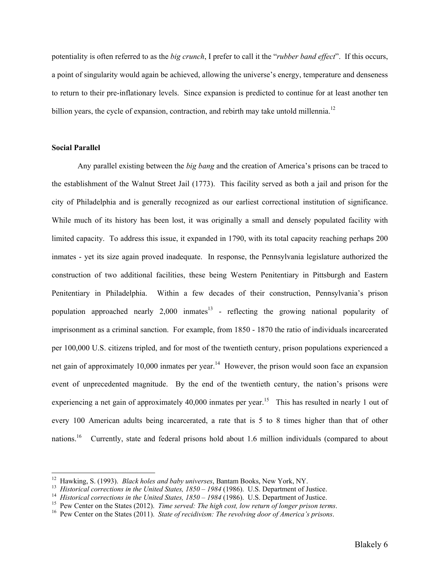potentiality is often referred to as the *big crunch*, I prefer to call it the "*rubber band effect*". If this occurs, a point of singularity would again be achieved, allowing the universe's energy, temperature and denseness to return to their pre-inflationary levels. Since expansion is predicted to continue for at least another ten billion years, the cycle of expansion, contraction, and rebirth may take untold millennia.<sup>12</sup>

# **Social Parallel**

 $\overline{a}$ 

Any parallel existing between the *big bang* and the creation of America's prisons can be traced to the establishment of the Walnut Street Jail (1773). This facility served as both a jail and prison for the city of Philadelphia and is generally recognized as our earliest correctional institution of significance. While much of its history has been lost, it was originally a small and densely populated facility with limited capacity. To address this issue, it expanded in 1790, with its total capacity reaching perhaps 200 inmates - yet its size again proved inadequate. In response, the Pennsylvania legislature authorized the construction of two additional facilities, these being Western Penitentiary in Pittsburgh and Eastern Penitentiary in Philadelphia. Within a few decades of their construction, Pennsylvania's prison population approached nearly  $2,000$  inmates<sup>13</sup> - reflecting the growing national popularity of imprisonment as a criminal sanction. For example, from 1850 - 1870 the ratio of individuals incarcerated per 100,000 U.S. citizens tripled, and for most of the twentieth century, prison populations experienced a net gain of approximately 10,000 inmates per year.<sup>14</sup> However, the prison would soon face an expansion event of unprecedented magnitude. By the end of the twentieth century, the nation's prisons were experiencing a net gain of approximately 40,000 inmates per year.<sup>15</sup> This has resulted in nearly 1 out of every 100 American adults being incarcerated, a rate that is 5 to 8 times higher than that of other nations.<sup>16</sup> Currently, state and federal prisons hold about 1.6 million individuals (compared to about

<sup>&</sup>lt;sup>12</sup> Hawking, S. (1993). *Black holes and baby universes*, Bantam Books, New York, NY.<br><sup>13</sup> *Historical corrections in the United States, 1850 – 1984* (1986). U.S. Department of Justice.<br><sup>14</sup> *Historical corrections in th*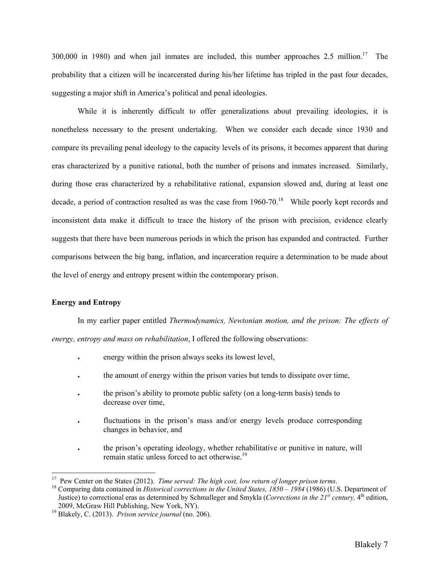300,000 in 1980) and when jail inmates are included, this number approaches  $2.5$  million.<sup>17</sup> The probability that a citizen will be incarcerated during his/her lifetime has tripled in the past four decades, suggesting a major shift in America's political and penal ideologies.

While it is inherently difficult to offer generalizations about prevailing ideologies, it is nonetheless necessary to the present undertaking. When we consider each decade since 1930 and compare its prevailing penal ideology to the capacity levels of its prisons, it becomes apparent that during eras characterized by a punitive rational, both the number of prisons and inmates increased. Similarly, during those eras characterized by a rehabilitative rational, expansion slowed and, during at least one decade, a period of contraction resulted as was the case from  $1960-70$ .<sup>18</sup> While poorly kept records and inconsistent data make it difficult to trace the history of the prison with precision, evidence clearly suggests that there have been numerous periods in which the prison has expanded and contracted. Further comparisons between the big bang, inflation, and incarceration require a determination to be made about the level of energy and entropy present within the contemporary prison.

## **Energy and Entropy**

 $\overline{a}$ 

In my earlier paper entitled *Thermodynamics, Newtonian motion, and the prison: The effects of energy, entropy and mass on rehabilitation*, I offered the following observations:

- energy within the prison always seeks its lowest level,
- the amount of energy within the prison varies but tends to dissipate over time,
- the prison's ability to promote public safety (on a long-term basis) tends to decrease over time,
- fluctuations in the prison's mass and/or energy levels produce corresponding changes in behavior, and
- the prison's operating ideology, whether rehabilitative or punitive in nature, will remain static unless forced to act otherwise.<sup>19</sup>

<sup>&</sup>lt;sup>17</sup> Pew Center on the States (2012). *Time served: The high cost, low return of longer prison terms.*<br><sup>18</sup> Comparing data contained in *Historical corrections in the United States, 1850 – 1984* (1986) (U.S. Department of

Justice) to correctional eras as determined by Schmalleger and Smykla (*Corrections in the 21st century,* 4th edition,

<sup>2009,</sup> McGraw Hill Publishing, New York, NY). 19 Blakely, C. (2013). *Prison service journal* (no. 206).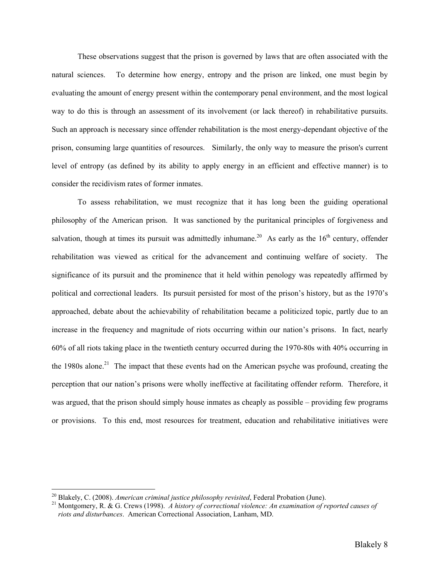These observations suggest that the prison is governed by laws that are often associated with the natural sciences. To determine how energy, entropy and the prison are linked, one must begin by evaluating the amount of energy present within the contemporary penal environment, and the most logical way to do this is through an assessment of its involvement (or lack thereof) in rehabilitative pursuits. Such an approach is necessary since offender rehabilitation is the most energy-dependant objective of the prison, consuming large quantities of resources. Similarly, the only way to measure the prison's current level of entropy (as defined by its ability to apply energy in an efficient and effective manner) is to consider the recidivism rates of former inmates.

To assess rehabilitation, we must recognize that it has long been the guiding operational philosophy of the American prison. It was sanctioned by the puritanical principles of forgiveness and salvation, though at times its pursuit was admittedly inhumane.<sup>20</sup> As early as the  $16<sup>th</sup>$  century, offender rehabilitation was viewed as critical for the advancement and continuing welfare of society. The significance of its pursuit and the prominence that it held within penology was repeatedly affirmed by political and correctional leaders. Its pursuit persisted for most of the prison's history, but as the 1970's approached, debate about the achievability of rehabilitation became a politicized topic, partly due to an increase in the frequency and magnitude of riots occurring within our nation's prisons. In fact, nearly 60% of all riots taking place in the twentieth century occurred during the 1970-80s with 40% occurring in the 1980s alone.<sup>21</sup> The impact that these events had on the American psyche was profound, creating the perception that our nation's prisons were wholly ineffective at facilitating offender reform. Therefore, it was argued, that the prison should simply house inmates as cheaply as possible – providing few programs or provisions. To this end, most resources for treatment, education and rehabilitative initiatives were

<sup>&</sup>lt;sup>20</sup> Blakely, C. (2008). *American criminal justice philosophy revisited*, Federal Probation (June).<br><sup>21</sup> Montgomery, R. & G. Crews (1998). *A history of correctional violence: An examination of reported causes of riots and disturbances*. American Correctional Association, Lanham, MD.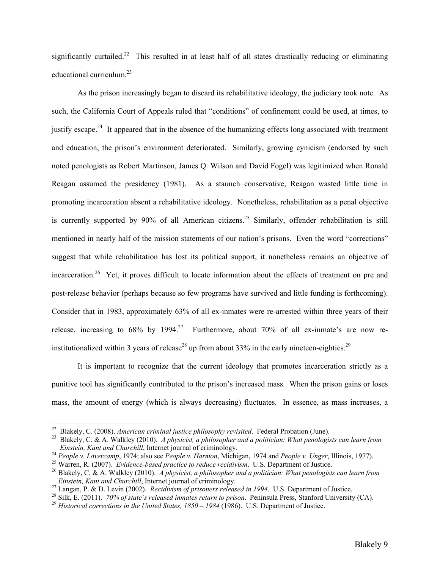significantly curtailed.<sup>22</sup> This resulted in at least half of all states drastically reducing or eliminating educational curriculum. $^{23}$ 

As the prison increasingly began to discard its rehabilitative ideology, the judiciary took note. As such, the California Court of Appeals ruled that "conditions" of confinement could be used, at times, to justify escape.<sup>24</sup> It appeared that in the absence of the humanizing effects long associated with treatment and education, the prison's environment deteriorated. Similarly, growing cynicism (endorsed by such noted penologists as Robert Martinson, James Q. Wilson and David Fogel) was legitimized when Ronald Reagan assumed the presidency (1981). As a staunch conservative, Reagan wasted little time in promoting incarceration absent a rehabilitative ideology. Nonetheless, rehabilitation as a penal objective is currently supported by 90% of all American citizens.<sup>25</sup> Similarly, offender rehabilitation is still mentioned in nearly half of the mission statements of our nation's prisons. Even the word "corrections" suggest that while rehabilitation has lost its political support, it nonetheless remains an objective of incarceration.<sup>26</sup> Yet, it proves difficult to locate information about the effects of treatment on pre and post-release behavior (perhaps because so few programs have survived and little funding is forthcoming). Consider that in 1983, approximately 63% of all ex-inmates were re-arrested within three years of their release, increasing to  $68\%$  by  $1994.<sup>27</sup>$  Furthermore, about 70% of all ex-inmate's are now reinstitutionalized within 3 years of release<sup>28</sup> up from about 33% in the early nineteen-eighties.<sup>29</sup>

It is important to recognize that the current ideology that promotes incarceration strictly as a punitive tool has significantly contributed to the prison's increased mass. When the prison gains or loses mass, the amount of energy (which is always decreasing) fluctuates. In essence, as mass increases, a

<sup>&</sup>lt;sup>22</sup> Blakely, C. (2008). *American criminal justice philosophy revisited*. Federal Probation (June).<br><sup>23</sup> Blakely, C. & A. Walkley (2010). *A physicist, a philosopher and a politician: What penologists can learn from Einst* 

<sup>&</sup>lt;sup>24</sup> People v. Lovercamp, 1974; also see People v. Harmon, Michigan, 1974 and People v. Unger, Illinois, 1977).<br><sup>25</sup> Warren, R. (2007). *Evidence-based practice to reduce recidivism*. U.S. Department of Justice.<br><sup>26</sup> Blak

*Einstein, Kant and Churchill, Internet journal of criminology.*<br><sup>27</sup> Langan, P. & D. Levin (2002). *Recidivism of prisoners released in 1994*. U.S. Department of Justice.<br><sup>28</sup> Silk, E. (2011). 70% of state's released inm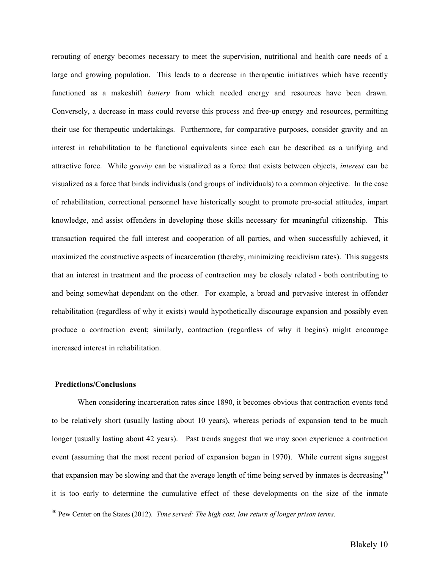rerouting of energy becomes necessary to meet the supervision, nutritional and health care needs of a large and growing population. This leads to a decrease in therapeutic initiatives which have recently functioned as a makeshift *battery* from which needed energy and resources have been drawn. Conversely, a decrease in mass could reverse this process and free-up energy and resources, permitting their use for therapeutic undertakings. Furthermore, for comparative purposes, consider gravity and an interest in rehabilitation to be functional equivalents since each can be described as a unifying and attractive force. While *gravity* can be visualized as a force that exists between objects, *interest* can be visualized as a force that binds individuals (and groups of individuals) to a common objective. In the case of rehabilitation, correctional personnel have historically sought to promote pro-social attitudes, impart knowledge, and assist offenders in developing those skills necessary for meaningful citizenship. This transaction required the full interest and cooperation of all parties, and when successfully achieved, it maximized the constructive aspects of incarceration (thereby, minimizing recidivism rates). This suggests that an interest in treatment and the process of contraction may be closely related - both contributing to and being somewhat dependant on the other. For example, a broad and pervasive interest in offender rehabilitation (regardless of why it exists) would hypothetically discourage expansion and possibly even produce a contraction event; similarly, contraction (regardless of why it begins) might encourage increased interest in rehabilitation.

## **Predictions/Conclusions**

 $\overline{a}$ 

When considering incarceration rates since 1890, it becomes obvious that contraction events tend to be relatively short (usually lasting about 10 years), whereas periods of expansion tend to be much longer (usually lasting about 42 years). Past trends suggest that we may soon experience a contraction event (assuming that the most recent period of expansion began in 1970). While current signs suggest that expansion may be slowing and that the average length of time being served by inmates is decreasing $30$ it is too early to determine the cumulative effect of these developments on the size of the inmate

<sup>30</sup> Pew Center on the States (2012). *Time served: The high cost, low return of longer prison terms*.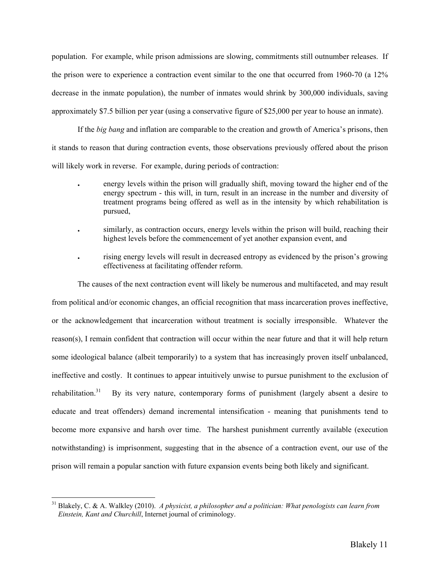population. For example, while prison admissions are slowing, commitments still outnumber releases. If the prison were to experience a contraction event similar to the one that occurred from 1960-70 (a 12% decrease in the inmate population), the number of inmates would shrink by 300,000 individuals, saving approximately \$7.5 billion per year (using a conservative figure of \$25,000 per year to house an inmate).

If the *big bang* and inflation are comparable to the creation and growth of America's prisons, then it stands to reason that during contraction events, those observations previously offered about the prison will likely work in reverse. For example, during periods of contraction:

- energy levels within the prison will gradually shift, moving toward the higher end of the energy spectrum - this will, in turn, result in an increase in the number and diversity of treatment programs being offered as well as in the intensity by which rehabilitation is pursued,
- similarly, as contraction occurs, energy levels within the prison will build, reaching their highest levels before the commencement of yet another expansion event, and
- rising energy levels will result in decreased entropy as evidenced by the prison's growing effectiveness at facilitating offender reform.

The causes of the next contraction event will likely be numerous and multifaceted, and may result from political and/or economic changes, an official recognition that mass incarceration proves ineffective, or the acknowledgement that incarceration without treatment is socially irresponsible. Whatever the reason(s), I remain confident that contraction will occur within the near future and that it will help return some ideological balance (albeit temporarily) to a system that has increasingly proven itself unbalanced, ineffective and costly. It continues to appear intuitively unwise to pursue punishment to the exclusion of rehabilitation.<sup>31</sup> By its very nature, contemporary forms of punishment (largely absent a desire to educate and treat offenders) demand incremental intensification - meaning that punishments tend to become more expansive and harsh over time. The harshest punishment currently available (execution notwithstanding) is imprisonment, suggesting that in the absence of a contraction event, our use of the prison will remain a popular sanction with future expansion events being both likely and significant.

<sup>31</sup> Blakely, C. & A. Walkley (2010). *A physicist, a philosopher and a politician: What penologists can learn from Einstein, Kant and Churchill*, Internet journal of criminology.